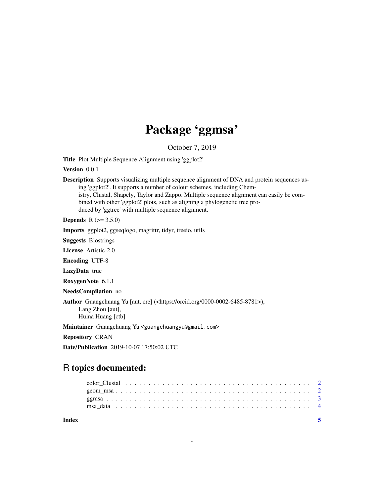## Package 'ggmsa'

October 7, 2019

Title Plot Multiple Sequence Alignment using 'ggplot2'

Version 0.0.1

Description Supports visualizing multiple sequence alignment of DNA and protein sequences using 'ggplot2'. It supports a number of colour schemes, including Chemistry, Clustal, Shapely, Taylor and Zappo. Multiple sequence alignment can easily be combined with other 'ggplot2' plots, such as aligning a phylogenetic tree produced by 'ggtree' with multiple sequence alignment.

**Depends** R  $(>= 3.5.0)$ 

Imports ggplot2, ggseqlogo, magrittr, tidyr, treeio, utils

Suggests Biostrings

License Artistic-2.0

Encoding UTF-8

LazyData true

RoxygenNote 6.1.1

NeedsCompilation no

Author Guangchuang Yu [aut, cre] (<https://orcid.org/0000-0002-6485-8781>), Lang Zhou [aut], Huina Huang [ctb]

Maintainer Guangchuang Yu <guangchuangyu@gmail.com>

Repository CRAN

Date/Publication 2019-10-07 17:50:02 UTC

### R topics documented:

**Index** [5](#page-4-0). The second state of the second state of the second state of the second state of the second state of the second state of the second state of the second state of the second state of the second state of the second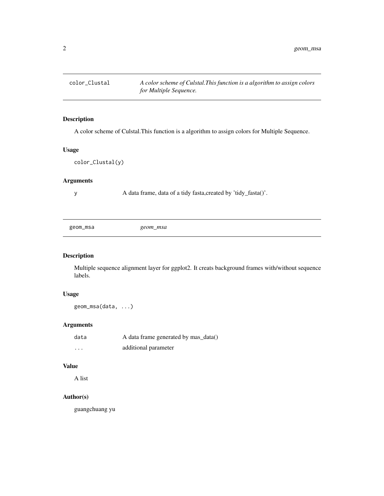<span id="page-1-0"></span>

#### Description

A color scheme of Culstal.This function is a algorithm to assign colors for Multiple Sequence.

#### Usage

```
color_Clustal(y)
```
#### Arguments

y A data frame, data of a tidy fasta,created by 'tidy\_fasta()'.

geom\_msa *geom\_msa*

#### Description

Multiple sequence alignment layer for ggplot2. It creats background frames with/without sequence labels.

#### Usage

geom\_msa(data, ...)

#### Arguments

| data     | A data frame generated by mas_data() |
|----------|--------------------------------------|
| $\cdots$ | additional parameter                 |

#### Value

A list

#### Author(s)

guangchuang yu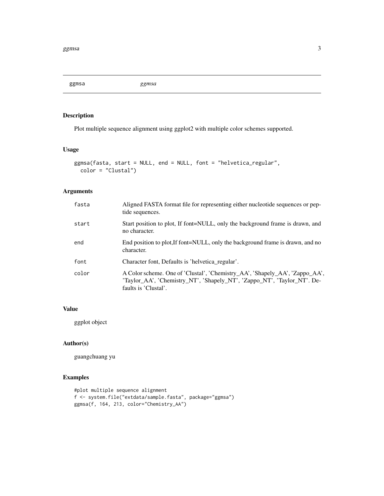<span id="page-2-0"></span>ggmsa *ggmsa*

#### Description

Plot multiple sequence alignment using ggplot2 with multiple color schemes supported.

#### Usage

```
ggmsa(fasta, start = NULL, end = NULL, font = "helvetica_regular",
 color = "Clustal")
```
#### Arguments

| fasta | Aligned FASTA format file for representing either nucleotide sequences or pep-<br>tide sequences.                                                                              |
|-------|--------------------------------------------------------------------------------------------------------------------------------------------------------------------------------|
| start | Start position to plot, If font=NULL, only the background frame is drawn, and<br>no character.                                                                                 |
| end   | End position to plot, If font=NULL, only the background frame is drawn, and no<br>character.                                                                                   |
| font  | Character font, Defaults is 'helvetica_regular'.                                                                                                                               |
| color | A Color scheme. One of 'Clustal', 'Chemistry_AA', 'Shapely_AA', 'Zappo_AA',<br>'Taylor_AA', 'Chemistry_NT', 'Shapely_NT', 'Zappo_NT', 'Taylor_NT'. De-<br>faults is 'Clustal'. |

#### Value

ggplot object

#### Author(s)

guangchuang yu

#### Examples

```
#plot multiple sequence alignment
f <- system.file("extdata/sample.fasta", package="ggmsa")
ggmsa(f, 164, 213, color="Chemistry_AA")
```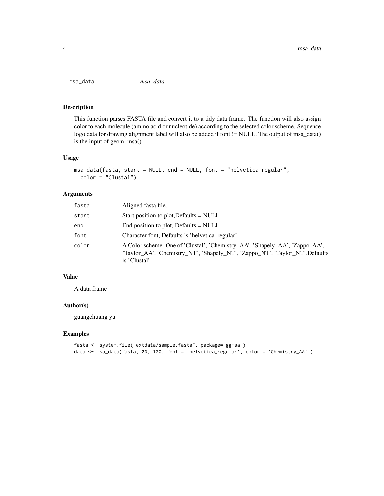<span id="page-3-0"></span>msa\_data *msa\_data*

#### Description

This function parses FASTA file and convert it to a tidy data frame. The function will also assign color to each molecule (amino acid or nucleotide) according to the selected color scheme. Sequence logo data for drawing alignment label will also be added if font != NULL. The output of msa\_data() is the input of geom\_msa().

#### Usage

```
msa_data(fasta, start = NULL, end = NULL, font = "helvetica_regular",
 color = "Clustal")
```
#### Arguments

| fasta | Aligned fasta file.                                                                                                                                                         |
|-------|-----------------------------------------------------------------------------------------------------------------------------------------------------------------------------|
| start | Start position to plot, Defaults = NULL.                                                                                                                                    |
| end   | End position to plot, Defaults = NULL.                                                                                                                                      |
| font  | Character font, Defaults is 'helvetica regular'.                                                                                                                            |
| color | A Color scheme. One of 'Clustal', 'Chemistry_AA', 'Shapely_AA', 'Zappo_AA',<br>'Taylor_AA', 'Chemistry_NT', 'Shapely_NT', 'Zappo_NT', 'Taylor_NT'.Defaults<br>is 'Clustal'. |

#### Value

A data frame

#### Author(s)

guangchuang yu

#### Examples

```
fasta <- system.file("extdata/sample.fasta", package="ggmsa")
data <- msa_data(fasta, 20, 120, font = 'helvetica_regular', color = 'Chemistry_AA' )
```